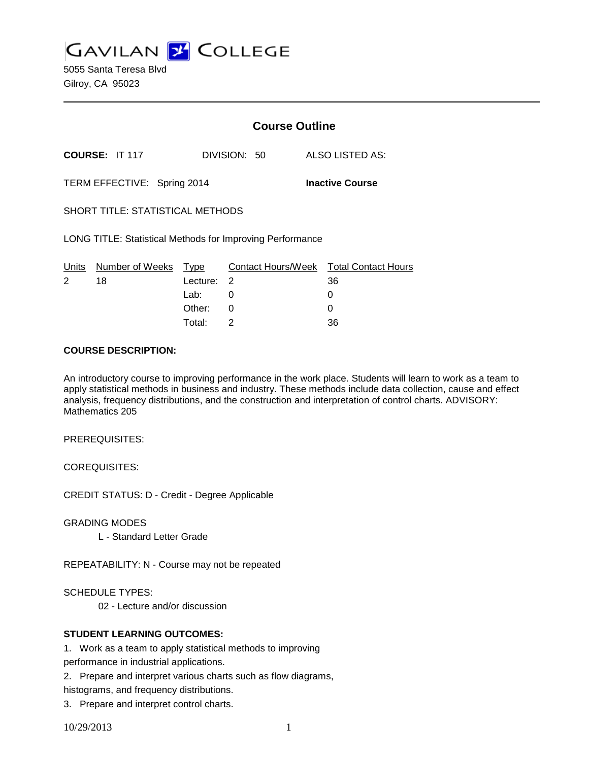**GAVILAN J COLLEGE** 

5055 Santa Teresa Blvd Gilroy, CA 95023

|                                                                  |                                  |            | <b>Course Outline</b> |                                              |  |
|------------------------------------------------------------------|----------------------------------|------------|-----------------------|----------------------------------------------|--|
| COURSE: IT 117                                                   |                                  |            | DIVISION: 50          | ALSO LISTED AS:                              |  |
| TERM EFFECTIVE: Spring 2014<br><b>Inactive Course</b>            |                                  |            |                       |                                              |  |
| SHORT TITLE: STATISTICAL METHODS                                 |                                  |            |                       |                                              |  |
| <b>LONG TITLE: Statistical Methods for Improving Performance</b> |                                  |            |                       |                                              |  |
| $\overline{2}$                                                   | Units Number of Weeks Type<br>18 | Lecture: 2 |                       | Contact Hours/Week Total Contact Hours<br>36 |  |
|                                                                  |                                  | Lab: Lab   | 0                     | 0                                            |  |
|                                                                  |                                  | Other:     | 0                     | 0                                            |  |
|                                                                  |                                  | Total:     | 2                     | 36                                           |  |

#### **COURSE DESCRIPTION:**

An introductory course to improving performance in the work place. Students will learn to work as a team to apply statistical methods in business and industry. These methods include data collection, cause and effect analysis, frequency distributions, and the construction and interpretation of control charts. ADVISORY: Mathematics 205

PREREQUISITES:

COREQUISITES:

CREDIT STATUS: D - Credit - Degree Applicable

GRADING MODES

L - Standard Letter Grade

REPEATABILITY: N - Course may not be repeated

SCHEDULE TYPES:

02 - Lecture and/or discussion

## **STUDENT LEARNING OUTCOMES:**

1. Work as a team to apply statistical methods to improving

performance in industrial applications.

2. Prepare and interpret various charts such as flow diagrams,

histograms, and frequency distributions.

3. Prepare and interpret control charts.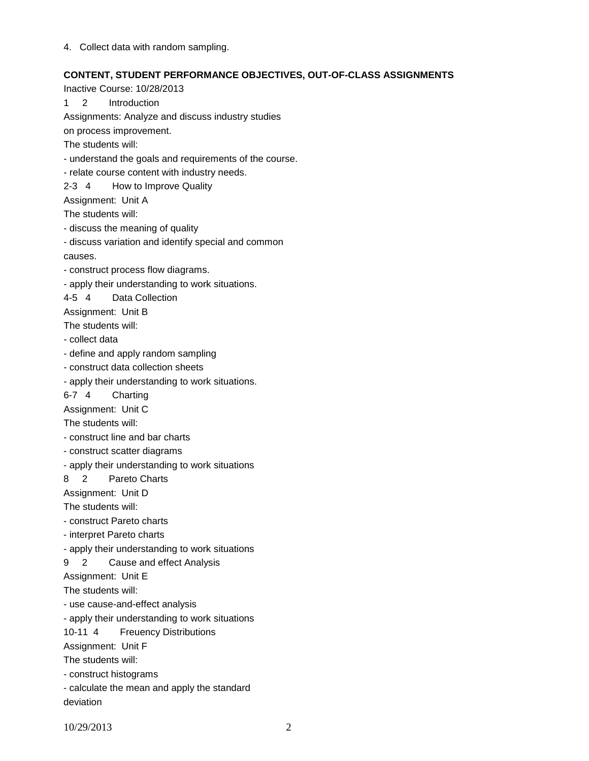4. Collect data with random sampling.

# **CONTENT, STUDENT PERFORMANCE OBJECTIVES, OUT-OF-CLASS ASSIGNMENTS**

Inactive Course: 10/28/2013 1 2 Introduction Assignments: Analyze and discuss industry studies on process improvement. The students will: - understand the goals and requirements of the course. - relate course content with industry needs. 2-3 4 How to Improve Quality Assignment: Unit A The students will: - discuss the meaning of quality - discuss variation and identify special and common causes. - construct process flow diagrams. - apply their understanding to work situations. 4-5 4 Data Collection Assignment: Unit B The students will: - collect data - define and apply random sampling - construct data collection sheets - apply their understanding to work situations. 6-7 4 Charting Assignment: Unit C The students will: - construct line and bar charts - construct scatter diagrams - apply their understanding to work situations 8 2 Pareto Charts Assignment: Unit D The students will: - construct Pareto charts - interpret Pareto charts - apply their understanding to work situations 9 2 Cause and effect Analysis Assignment: Unit E The students will: - use cause-and-effect analysis - apply their understanding to work situations 10-11 4 Freuency Distributions Assignment: Unit F The students will: - construct histograms - calculate the mean and apply the standard deviation

10/29/2013 2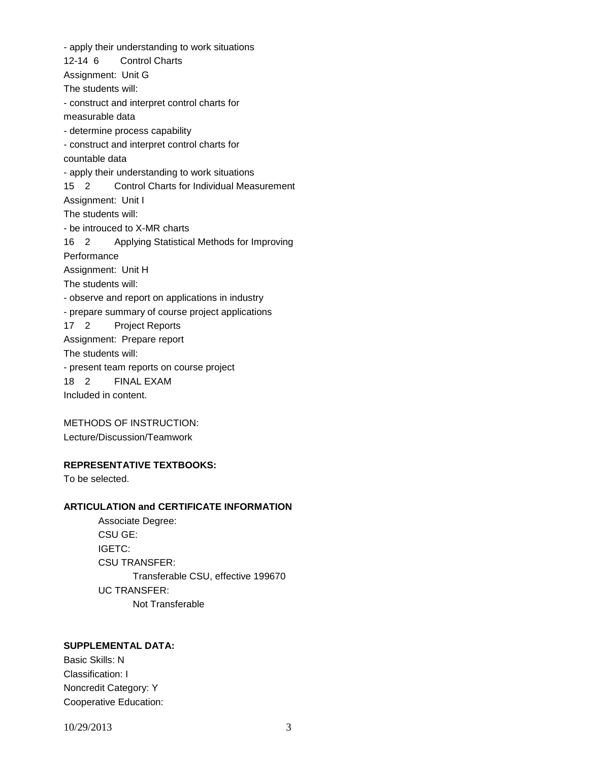- apply their understanding to work situations 12-14 6 Control Charts Assignment: Unit G The students will: - construct and interpret control charts for measurable data - determine process capability - construct and interpret control charts for countable data - apply their understanding to work situations 15 2 Control Charts for Individual Measurement Assignment: Unit I The students will: - be introuced to X-MR charts 16 2 Applying Statistical Methods for Improving **Performance** Assignment: Unit H The students will: - observe and report on applications in industry - prepare summary of course project applications 17 2 Project Reports Assignment: Prepare report The students will: - present team reports on course project 18 2 FINAL EXAM Included in content.

METHODS OF INSTRUCTION: Lecture/Discussion/Teamwork

### **REPRESENTATIVE TEXTBOOKS:**

To be selected.

## **ARTICULATION and CERTIFICATE INFORMATION**

Associate Degree: CSU GE: IGETC: CSU TRANSFER: Transferable CSU, effective 199670 UC TRANSFER: Not Transferable

# **SUPPLEMENTAL DATA:**

Basic Skills: N Classification: I Noncredit Category: Y Cooperative Education:

10/29/2013 3